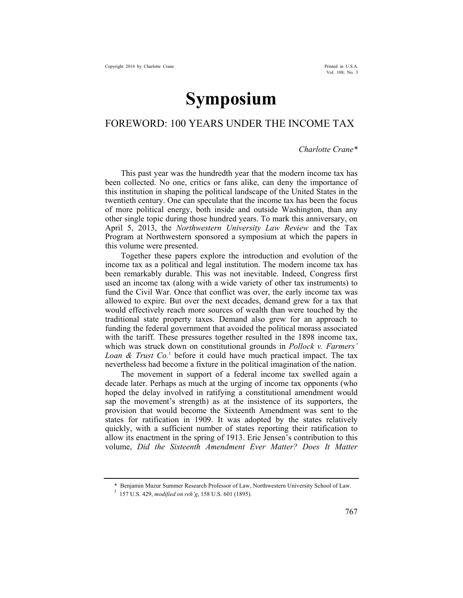## **Symposium**

## FOREWORD: 100 YEARS UNDER THE INCOME TAX

## *Charlotte Crane\**

This past year was the hundredth year that the modern income tax has been collected. No one, critics or fans alike, can deny the importance of this institution in shaping the political landscape of the United States in the twentieth century. One can speculate that the income tax has been the focus of more political energy, both inside and outside Washington, than any other single topic during those hundred years. To mark this anniversary, on April 5, 2013, the *Northwestern University Law Review* and the Tax Program at Northwestern sponsored a symposium at which the papers in this volume were presented.

Together these papers explore the introduction and evolution of the income tax as a political and legal institution. The modern income tax has been remarkably durable. This was not inevitable. Indeed, Congress first used an income tax (along with a wide variety of other tax instruments) to fund the Civil War. Once that conflict was over, the early income tax was allowed to expire. But over the next decades, demand grew for a tax that would effectively reach more sources of wealth than were touched by the traditional state property taxes. Demand also grew for an approach to funding the federal government that avoided the political morass associated with the tariff. These pressures together resulted in the 1898 income tax, which was struck down on constitutional grounds in *Pollock v. Farmers'*  Loan & Trust Co.<sup>1</sup> before it could have much practical impact. The tax nevertheless had become a fixture in the political imagination of the nation.

The movement in support of a federal income tax swelled again a decade later. Perhaps as much at the urging of income tax opponents (who hoped the delay involved in ratifying a constitutional amendment would sap the movement's strength) as at the insistence of its supporters, the provision that would become the Sixteenth Amendment was sent to the states for ratification in 1909. It was adopted by the states relatively quickly, with a sufficient number of states reporting their ratification to allow its enactment in the spring of 1913. Eric Jensen's contribution to this volume, *Did the Sixteenth Amendment Ever Matter? Does It Matter* 

<sup>\*</sup> Benjamin Mazur Summer Research Professor of Law, Northwestern University School of Law. 1 157 U.S. 429, *modified on reh'g*, 158 U.S. 601 (1895).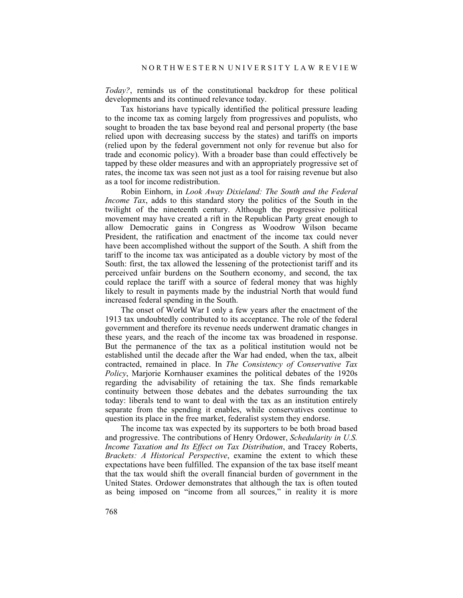*Today?*, reminds us of the constitutional backdrop for these political developments and its continued relevance today.

Tax historians have typically identified the political pressure leading to the income tax as coming largely from progressives and populists, who sought to broaden the tax base beyond real and personal property (the base relied upon with decreasing success by the states) and tariffs on imports (relied upon by the federal government not only for revenue but also for trade and economic policy). With a broader base than could effectively be tapped by these older measures and with an appropriately progressive set of rates, the income tax was seen not just as a tool for raising revenue but also as a tool for income redistribution.

Robin Einhorn, in *Look Away Dixieland: The South and the Federal Income Tax*, adds to this standard story the politics of the South in the twilight of the nineteenth century. Although the progressive political movement may have created a rift in the Republican Party great enough to allow Democratic gains in Congress as Woodrow Wilson became President, the ratification and enactment of the income tax could never have been accomplished without the support of the South. A shift from the tariff to the income tax was anticipated as a double victory by most of the South: first, the tax allowed the lessening of the protectionist tariff and its perceived unfair burdens on the Southern economy, and second, the tax could replace the tariff with a source of federal money that was highly likely to result in payments made by the industrial North that would fund increased federal spending in the South.

The onset of World War I only a few years after the enactment of the 1913 tax undoubtedly contributed to its acceptance. The role of the federal government and therefore its revenue needs underwent dramatic changes in these years, and the reach of the income tax was broadened in response. But the permanence of the tax as a political institution would not be established until the decade after the War had ended, when the tax, albeit contracted, remained in place. In *The Consistency of Conservative Tax Policy*, Marjorie Kornhauser examines the political debates of the 1920s regarding the advisability of retaining the tax. She finds remarkable continuity between those debates and the debates surrounding the tax today: liberals tend to want to deal with the tax as an institution entirely separate from the spending it enables, while conservatives continue to question its place in the free market, federalist system they endorse.

The income tax was expected by its supporters to be both broad based and progressive. The contributions of Henry Ordower, *Schedularity in U.S. Income Taxation and Its Effect on Tax Distribution*, and Tracey Roberts, *Brackets: A Historical Perspective*, examine the extent to which these expectations have been fulfilled. The expansion of the tax base itself meant that the tax would shift the overall financial burden of government in the United States. Ordower demonstrates that although the tax is often touted as being imposed on "income from all sources," in reality it is more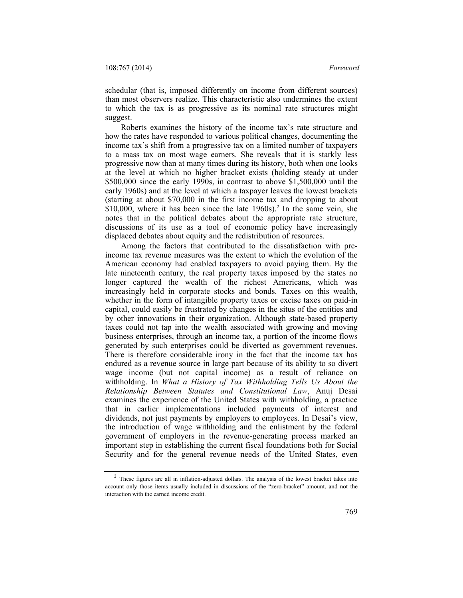schedular (that is, imposed differently on income from different sources) than most observers realize. This characteristic also undermines the extent to which the tax is as progressive as its nominal rate structures might suggest.

Roberts examines the history of the income tax's rate structure and how the rates have responded to various political changes, documenting the income tax's shift from a progressive tax on a limited number of taxpayers to a mass tax on most wage earners. She reveals that it is starkly less progressive now than at many times during its history, both when one looks at the level at which no higher bracket exists (holding steady at under \$500,000 since the early 1990s, in contrast to above \$1,500,000 until the early 1960s) and at the level at which a taxpayer leaves the lowest brackets (starting at about \$70,000 in the first income tax and dropping to about  $$10,000$ , where it has been since the late  $1960s$ ).<sup>2</sup> In the same vein, she notes that in the political debates about the appropriate rate structure, discussions of its use as a tool of economic policy have increasingly displaced debates about equity and the redistribution of resources.

Among the factors that contributed to the dissatisfaction with preincome tax revenue measures was the extent to which the evolution of the American economy had enabled taxpayers to avoid paying them. By the late nineteenth century, the real property taxes imposed by the states no longer captured the wealth of the richest Americans, which was increasingly held in corporate stocks and bonds. Taxes on this wealth, whether in the form of intangible property taxes or excise taxes on paid-in capital, could easily be frustrated by changes in the situs of the entities and by other innovations in their organization. Although state-based property taxes could not tap into the wealth associated with growing and moving business enterprises, through an income tax, a portion of the income flows generated by such enterprises could be diverted as government revenues. There is therefore considerable irony in the fact that the income tax has endured as a revenue source in large part because of its ability to so divert wage income (but not capital income) as a result of reliance on withholding. In *What a History of Tax Withholding Tells Us About the Relationship Between Statutes and Constitutional Law*, Anuj Desai examines the experience of the United States with withholding, a practice that in earlier implementations included payments of interest and dividends, not just payments by employers to employees. In Desai's view, the introduction of wage withholding and the enlistment by the federal government of employers in the revenue-generating process marked an important step in establishing the current fiscal foundations both for Social Security and for the general revenue needs of the United States, even

<sup>&</sup>lt;sup>2</sup> These figures are all in inflation-adjusted dollars. The analysis of the lowest bracket takes into account only those items usually included in discussions of the "zero-bracket" amount, and not the interaction with the earned income credit.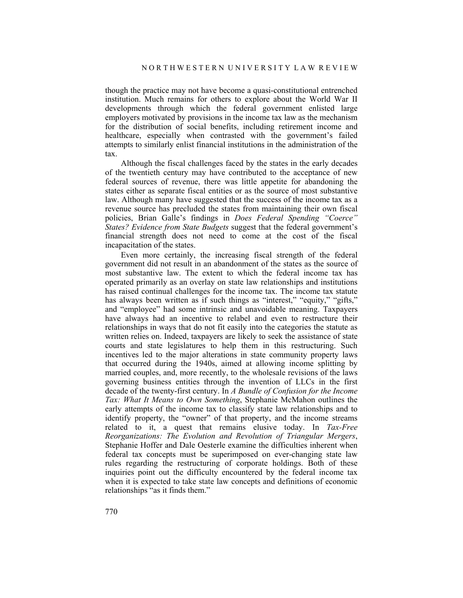though the practice may not have become a quasi-constitutional entrenched institution. Much remains for others to explore about the World War II developments through which the federal government enlisted large employers motivated by provisions in the income tax law as the mechanism for the distribution of social benefits, including retirement income and healthcare, especially when contrasted with the government's failed attempts to similarly enlist financial institutions in the administration of the tax.

Although the fiscal challenges faced by the states in the early decades of the twentieth century may have contributed to the acceptance of new federal sources of revenue, there was little appetite for abandoning the states either as separate fiscal entities or as the source of most substantive law. Although many have suggested that the success of the income tax as a revenue source has precluded the states from maintaining their own fiscal policies, Brian Galle's findings in *Does Federal Spending "Coerce" States? Evidence from State Budgets* suggest that the federal government's financial strength does not need to come at the cost of the fiscal incapacitation of the states.

Even more certainly, the increasing fiscal strength of the federal government did not result in an abandonment of the states as the source of most substantive law. The extent to which the federal income tax has operated primarily as an overlay on state law relationships and institutions has raised continual challenges for the income tax. The income tax statute has always been written as if such things as "interest," "equity," "gifts," and "employee" had some intrinsic and unavoidable meaning. Taxpayers have always had an incentive to relabel and even to restructure their relationships in ways that do not fit easily into the categories the statute as written relies on. Indeed, taxpayers are likely to seek the assistance of state courts and state legislatures to help them in this restructuring. Such incentives led to the major alterations in state community property laws that occurred during the 1940s, aimed at allowing income splitting by married couples, and, more recently, to the wholesale revisions of the laws governing business entities through the invention of LLCs in the first decade of the twenty-first century. In *A Bundle of Confusion for the Income Tax: What It Means to Own Something*, Stephanie McMahon outlines the early attempts of the income tax to classify state law relationships and to identify property, the "owner" of that property, and the income streams related to it, a quest that remains elusive today. In *Tax-Free Reorganizations: The Evolution and Revolution of Triangular Mergers*, Stephanie Hoffer and Dale Oesterle examine the difficulties inherent when federal tax concepts must be superimposed on ever-changing state law rules regarding the restructuring of corporate holdings. Both of these inquiries point out the difficulty encountered by the federal income tax when it is expected to take state law concepts and definitions of economic relationships "as it finds them."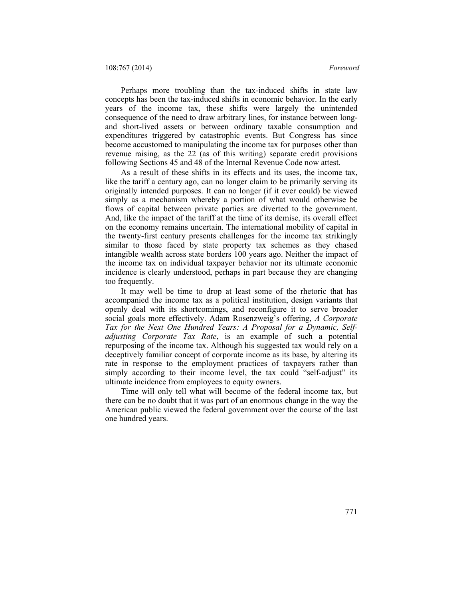108:767 (2014) *Foreword*

Perhaps more troubling than the tax-induced shifts in state law concepts has been the tax-induced shifts in economic behavior. In the early years of the income tax, these shifts were largely the unintended consequence of the need to draw arbitrary lines, for instance between longand short-lived assets or between ordinary taxable consumption and expenditures triggered by catastrophic events. But Congress has since become accustomed to manipulating the income tax for purposes other than revenue raising, as the 22 (as of this writing) separate credit provisions following Sections 45 and 48 of the Internal Revenue Code now attest.

As a result of these shifts in its effects and its uses, the income tax, like the tariff a century ago, can no longer claim to be primarily serving its originally intended purposes. It can no longer (if it ever could) be viewed simply as a mechanism whereby a portion of what would otherwise be flows of capital between private parties are diverted to the government. And, like the impact of the tariff at the time of its demise, its overall effect on the economy remains uncertain. The international mobility of capital in the twenty-first century presents challenges for the income tax strikingly similar to those faced by state property tax schemes as they chased intangible wealth across state borders 100 years ago. Neither the impact of the income tax on individual taxpayer behavior nor its ultimate economic incidence is clearly understood, perhaps in part because they are changing too frequently.

It may well be time to drop at least some of the rhetoric that has accompanied the income tax as a political institution, design variants that openly deal with its shortcomings, and reconfigure it to serve broader social goals more effectively. Adam Rosenzweig's offering, *A Corporate Tax for the Next One Hundred Years: A Proposal for a Dynamic, Selfadjusting Corporate Tax Rate*, is an example of such a potential repurposing of the income tax. Although his suggested tax would rely on a deceptively familiar concept of corporate income as its base, by altering its rate in response to the employment practices of taxpayers rather than simply according to their income level, the tax could "self-adjust" its ultimate incidence from employees to equity owners.

Time will only tell what will become of the federal income tax, but there can be no doubt that it was part of an enormous change in the way the American public viewed the federal government over the course of the last one hundred years.